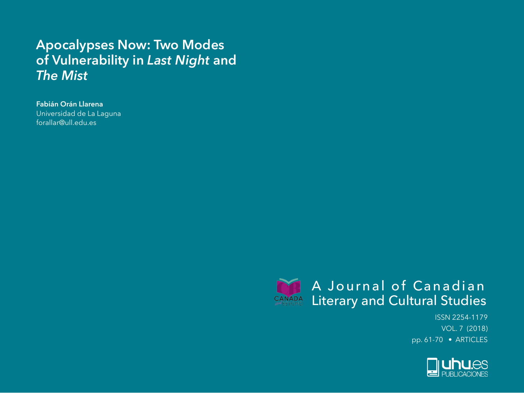# **Apocalypses Now: Two Modes of Vulnerability in** *Last Night* **and** *The Mist*

**Fabián Orán Llarena** Universidad de La Laguna forallar@ull.edu.es



ISSN 2254-1179 VOL. 7 (2018) pp. 61-70 • ARTICLES

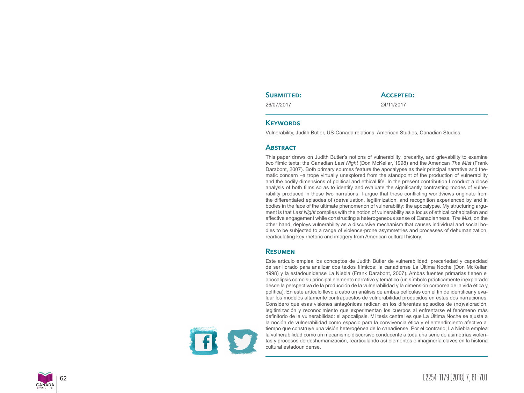#### SUBMITTED:

26/07/2017

## **Accepted:**

24/11/2017

### **KEYWORDS**

Vulnerability, Judith Butler, US-Canada relations, American Studies, Canadian Studies

## **Abstract**

This paper draws on Judith Butler's notions of vulnerability, precarity, and grievability to examine two filmic texts: the Canadian *Last Night* (Don McKellar, 1998) and the American *The Mist* (Frank Darabont, 2007). Both primary sources feature the apocalypse as their principal narrative and the matic concern –a trope virtually unexplored from the standpoint of the production of vulnerability and the bodily dimensions of political and ethical life. In the present contribution I conduct a close analysis of both films so as to identify and evaluate the significantly contrasting modes of vulne rability produced in these two narrations. I argue that these conflicting worldviews originate from the differentiated episodes of (de)valuation, legitimization, and recognition experienced by and in bodies in the face of the ultimate phenomenon of vulnerability: the apocalypse. My structuring argu ment is that *Last Night* complies with the notion of vulnerability as a locus of ethical cohabitation and affective engagement while constructing a heterogeneous sense of Canadianness. *The Mist*, on the other hand, deploys vulnerability as a discursive mechanism that causes individual and social bo dies to be subjected to a range of violence-prone asymmetries and processes of dehumanization, rearticulating key rhetoric and imagery from American cultural history.

## **Resumen**

 $\blacksquare$ 

Este artículo emplea los conceptos de Judith Butler de vulnerabilidad, precariedad y capacidad de ser llorado para analizar dos textos fílmicos: la canadiense La Última Noche (Don McKellar, 1998) y la estadounidense La Niebla (Frank Darabont, 2007). Ambas fuentes primarias tienen el apocalipsis como su principal elemento narrativo y temático (un símbolo prácticamente inexplorado desde la perspectiva de la producción de la vulnerabilidad y la dimensión corpórea de la vida ética y política). En este artículo llevo a cabo un análisis de ambas películas con el fin de identificar y eva luar los modelos altamente contrapuestos de vulnerabilidad producidos en estas dos narraciones. Considero que esas visiones antagónicas radican en los diferentes episodios de (no)valoración, legitimización y reconocimiento que experimentan los cuerpos al enfrentarse el fenómeno más definitorio de la vulnerabilidad: el apocalipsis. Mi tesis central es que La Última Noche se ajusta a la noción de vulnerabilidad como espacio para la convivencia ética y el entendimiento afectivo al tiempo que construye una visión heterogénea de lo canadiense. Por el contrario, La Niebla emplea la vulnerabilidad como un mecanismo discursivo conducente a toda una serie de asimetrías violen tas y procesos de deshumanización, rearticulando así elementos e imaginería claves en la historia cultural estadounidense.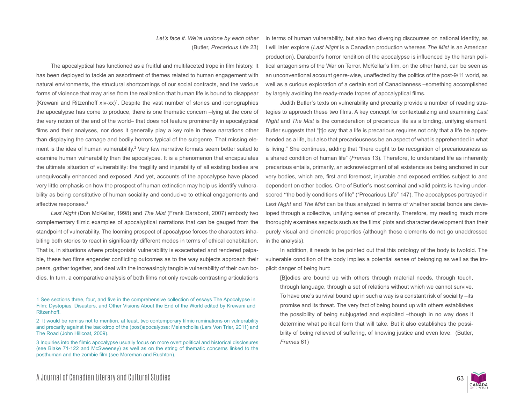## *Let's face it. We're undone by each other* (Butler, *Precarious Life* 23)

The apocalyptical has functioned as a fruitful and multifaceted trope in film history. It has been deployed to tackle an assortment of themes related to human engagement with natural environments, the structural shortcomings of our social contracts, and the various forms of violence that may arise from the realization that human life is bound to disappear (Krewani and Ritzenhoff xiv-xx)<sup>1</sup>. Despite the vast number of stories and iconographies the apocalypse has come to produce, there is one thematic concern –lying at the core of the very notion of the end of the world– that does not feature prominently in apocalyptical films and their analyses, nor does it generally play a key role in these narrations other than displaying the carnage and bodily horrors typical of the subgenre. That missing element is the idea of human vulnerability.<sup>2</sup> Very few narrative formats seem better suited to examine human vulnerability than the apocalypse. It is a phenomenon that encapsulates the ultimate situation of vulnerability: the fragility and injurability of all existing bodies are unequivocally enhanced and exposed. And yet, accounts of the apocalypse have placed very little emphasis on how the prospect of human extinction may help us identify vulnerability as being constitutive of human sociality and conducive to ethical engagements and affective responses.3

*Last Night* (Don McKellar, 1998) and *The Mist* (Frank Darabont, 2007) embody two complementary filmic examples of apocalyptical narrations that can be gauged from the standpoint of vulnerability. The looming prospect of apocalypse forces the characters inhabiting both stories to react in significantly different modes in terms of ethical cohabitation. That is, in situations where protagonists' vulnerability is exacerbated and rendered palpable, these two films engender conflicting outcomes as to the way subjects approach their peers, gather together, and deal with the increasingly tangible vulnerability of their own bodies. In turn, a comparative analysis of both films not only reveals contrasting articulations in terms of human vulnerability, but also two diverging discourses on national identity, as I will later explore (*Last Night* is a Canadian production whereas *The Mist* is an American production). Darabont's horror rendition of the apocalypse is influenced by the harsh political antagonisms of the War on Terror. McKellar's film, on the other hand, can be seen as an unconventional account genre-wise, unaffected by the politics of the post-9/11 world, as well as a curious exploration of a certain sort of Canadianness –something accomplished by largely avoiding the ready-made tropes of apocalyptical films.

Judith Butler's texts on vulnerability and precarity provide a number of reading strategies to approach these two films. A key concept for contextualizing and examining *Last Night* and *The Mist* is the consideration of precarious life as a binding, unifying element. Butler suggests that "[t]o say that a life is precarious requires not only that a life be apprehended as a life, but also that precariousness be an aspect of what is apprehended in what is living." She continues, adding that "there ought to be recognition of precariousness as a shared condition of human life" (*Frames* 13). Therefore, to understand life as inherently precarious entails, primarily, an acknowledgment of all existence as being anchored in our very bodies, which are, first and foremost, injurable and exposed entities subject to and dependent on other bodies. One of Butler's most seminal and valid points is having underscored **"**the bodily conditions of life" ("Precarious Life" 147). The apocalypses portrayed in *Last Night* and *The Mist* can be thus analyzed in terms of whether social bonds are developed through a collective, unifying sense of precarity. Therefore, my reading much more thoroughly examines aspects such as the films' plots and character development than their purely visual and cinematic properties (although these elements do not go unaddressed in the analysis).

In addition, it needs to be pointed out that this ontology of the body is twofold. The vulnerable condition of the body implies a potential sense of belonging as well as the implicit danger of being hurt:

[B]odies are bound up with others through material needs, through touch, through language, through a set of relations without which we cannot survive. To have one's survival bound up in such a way is a constant risk of sociality –its promise and its threat. The very fact of being bound up with others establishes the possibility of being subjugated and exploited –though in no way does it determine what political form that will take. But it also establishes the possibility of being relieved of suffering, of knowing justice and even love. (Butler, *Frames* 61)



<sup>1</sup> See sections three, four, and five in the comprehensive collection of essays The Apocalypse in Film: Dystopias, Disasters, and Other Visions About the End of the World edited by Krewani and Ritzenhoff.

<sup>2</sup> It would be remiss not to mention, at least, two contemporary filmic ruminations on vulnerability and precarity against the backdrop of the (post)apocalypse: Melancholia (Lars Von Trier, 2011) and The Road (John Hillcoat, 2009).

<sup>3</sup> Inquiries into the filmic apocalypse usually focus on more overt political and historical disclosures (see Blake 71-122 and McSweeney) as well as on the string of thematic concerns linked to the posthuman and the zombie film (see Moreman and Rushton).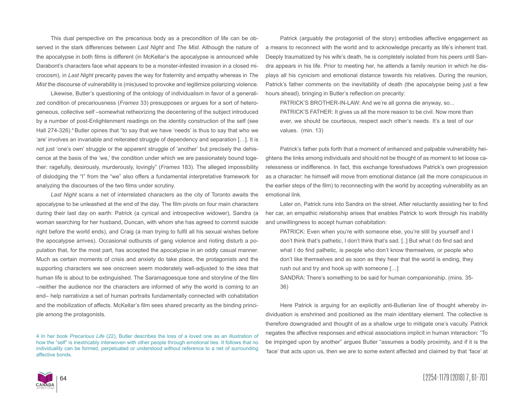This dual perspective on the precarious body as a precondition of life can be observed in the stark differences between *Last Night* and *The Mist*. Although the nature of the apocalypse in both films is different (in McKellar's the apocalypse is announced while Darabont's characters face what appears to be a monster-infested invasion in a closed microcosm), in *Last Night* precarity paves the way for fraternity and empathy whereas in *The Mist* the discourse of vulnerability is (mis)used to provoke and legitimize polarizing violence.

Likewise, Butler's questioning of the ontology of individualism in favor of a generalized condition of precariousness (*Frames* 33) presupposes or argues for a sort of heterogeneous, collective self –somewhat retheorizing the decentering of the subject introduced by a number of post-Enlightenment readings on the identity construction of the self (see Hall 274-326).<sup>4</sup> Butler opines that "to say that we have 'needs' is thus to say that who we 'are' involves an invariable and reiterated struggle of dependency and separation […]. It is not just 'one's own' struggle or the apparent struggle of 'another' but precisely the dehiscence at the basis of the 'we,' the condition under which we are passionately bound together: ragefully, desirously, murderously, lovingly" (*Frames* 183). The alleged impossibility of dislodging the "I" from the "we" also offers a fundamental interpretative framework for analyzing the discourses of the two films under scrutiny.

*Last Night* scans a net of interrelated characters as the city of Toronto awaits the apocalypse to be unleashed at the end of the day. The film pivots on four main characters during their last day on earth: Patrick (a cynical and introspective widower), Sandra (a woman searching for her husband, Duncan, with whom she has agreed to commit suicide right before the world ends), and Craig (a man trying to fulfil all his sexual wishes before the apocalypse arrives). Occasional outbursts of gang violence and rioting disturb a population that, for the most part, has accepted the apocalypse in an oddly casual manner. Much as certain moments of crisis and anxiety do take place, the protagonists and the supporting characters we see onscreen seem moderately well-adjusted to the idea that human life is about to be extinguished. The Saramagoesque tone and storyline of the film –neither the audience nor the characters are informed of why the world is coming to an end– help narrativize a set of human portraits fundamentally connected with cohabitation and the mobilization of affects. McKellar's film sees shared precarity as the binding principle among the protagonists.

4 In her book *Precarious Life* (22), Butler describes the loss of a loved one as an illustration of how the "self" is inextricably interwoven with other people through emotional ties. It follows that no individuality can be formed, perpetuated or understood without reference to a net of surrounding affective bonds.

Patrick (arguably the protagonist of the story) embodies affective engagement as a means to reconnect with the world and to acknowledge precarity as life's inherent trait. Deeply traumatized by his wife's death, he is completely isolated from his peers until Sandra appears in his life. Prior to meeting her, he attends a family reunion in which he displays all his cynicism and emotional distance towards his relatives. During the reunion, Patrick's father comments on the inevitability of death (the apocalypse being just a few hours ahead), bringing in Butler's reflection on precarity:

PATRICK'S BROTHER-IN-LAW: And we're all gonna die anyway, so... PATRICK'S FATHER: It gives us all the more reason to be civil. Now more than ever, we should be courteous, respect each other's needs. It's a test of our values. (min. 13)

Patrick's father puts forth that a moment of enhanced and palpable vulnerability heightens the links among individuals and should not be thought of as moment to let loose carelessness or indifference. In fact, this exchange foreshadows Patrick's own progression as a character: he himself will move from emotional distance (all the more conspicuous in the earlier steps of the film) to reconnecting with the world by accepting vulnerability as an emotional link.

Later on, Patrick runs into Sandra on the street. After reluctantly assisting her to find her car, an empathic relationship arises that enables Patrick to work through his inability and unwillingness to accept human cohabitation:

PATRICK: Even when you're with someone else, you're still by yourself and I don't think that's pathetic, I don't think that's sad. [..] But what I do find sad and what I do find pathetic, is people who don't know themselves, or people who don't like themselves and as soon as they hear that the world is ending, they rush out and try and hook up with someone […]

SANDRA: There's something to be said for human companionship. (mins. 35- 36)

Here Patrick is arguing for an explicitly anti-Butlerian line of thought whereby individuation is enshrined and positioned as the main identitary element. The collective is therefore downgraded and thought of as a shallow urge to mitigate one's vacuity. Patrick negates the affective responses and ethical associations implicit in human interaction: "To be impinged upon by another" argues Butler "assumes a bodily proximity, and if it is the 'face' that acts upon us, then we are to some extent affected and claimed by that 'face' at

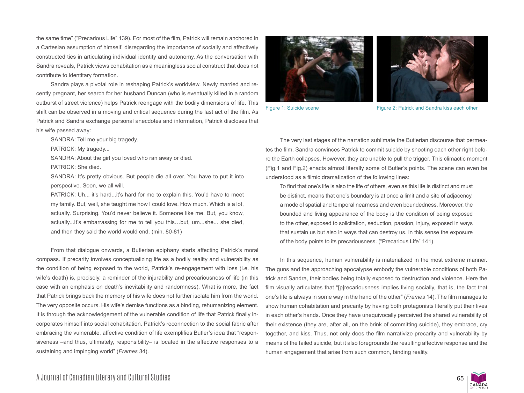the same time" ("Precarious Life" 139). For most of the film, Patrick will remain anchored in a Cartesian assumption of himself, disregarding the importance of socially and affectively constructed ties in articulating individual identity and autonomy. As the conversation with Sandra reveals, Patrick views cohabitation as a meaningless social construct that does not contribute to identitary formation.

Sandra plays a pivotal role in reshaping Patrick's worldview. Newly married and recently pregnant, her search for her husband Duncan (who is eventually killed in a random outburst of street violence) helps Patrick reengage with the bodily dimensions of life. This shift can be observed in a moving and critical sequence during the last act of the film. As Patrick and Sandra exchange personal anecdotes and information, Patrick discloses that his wife passed away:

SANDRA: Tell me your big tragedy.

PATRICK: My tragedy...

SANDRA: About the girl you loved who ran away or died.

PATRICK: She died.

SANDRA: It's pretty obvious. But people die all over. You have to put it into perspective. Soon, we all will.

PATRICK: Uh... it's hard...it's hard for me to explain this. You'd have to meet my family. But, well, she taught me how I could love. How much. Which is a lot, actually. Surprising. You'd never believe it. Someone like me. But, you know, actually...It's embarrassing for me to tell you this…but, um...she... she died, and then they said the world would end. (min. 80-81)

From that dialogue onwards, a Butlerian epiphany starts affecting Patrick's moral compass. If precarity involves conceptualizing life as a bodily reality and vulnerability as the condition of being exposed to the world, Patrick's re-engagement with loss (i.e. his wife's death) is, precisely, a reminder of the injurability and precariousness of life (in this case with an emphasis on death's inevitability and randomness). What is more, the fact that Patrick brings back the memory of his wife does not further isolate him from the world. The very opposite occurs. His wife's demise functions as a binding, rehumanizing element. It is through the acknowledgement of the vulnerable condition of life that Patrick finally incorporates himself into social cohabitation. Patrick's reconnection to the social fabric after embracing the vulnerable, affective condition of life exemplifies Butler's idea that "responsiveness –and thus, ultimately, responsibility– is located in the affective responses to a sustaining and impinging world" (*Frames* 34).



Figure 1: Suicide scene Figure 2: Patrick and Sandra kiss each other Figure 2: Patrick and Sandra kiss each other

The very last stages of the narration sublimate the Butlerian discourse that permeates the film. Sandra convinces Patrick to commit suicide by shooting each other right before the Earth collapses. However, they are unable to pull the trigger. This climactic moment (Fig.1 and Fig.2) enacts almost literally some of Butler's points. The scene can even be understood as a filmic dramatization of the following lines:

To find that one's life is also the life of others, even as this life is distinct and must be distinct, means that one's boundary is at once a limit and a site of adjacency, a mode of spatial and temporal nearness and even boundedness. Moreover, the bounded and living appearance of the body is the condition of being exposed to the other, exposed to solicitation, seduction, passion, injury, exposed in ways that sustain us but also in ways that can destroy us. In this sense the exposure of the body points to its precariousness. ("Precarious Life" 141)

In this sequence, human vulnerability is materialized in the most extreme manner. The guns and the approaching apocalypse embody the vulnerable conditions of both Patrick and Sandra, their bodies being totally exposed to destruction and violence. Here the film visually articulates that "[p]recariousness implies living socially, that is, the fact that one's life is always in some way in the hand of the other" (*Frames* 14). The film manages to show human cohabitation and precarity by having both protagonists literally put their lives in each other's hands. Once they have unequivocally perceived the shared vulnerability of their existence (they are, after all, on the brink of committing suicide), they embrace, cry together, and kiss. Thus, not only does the film narrativize precarity and vulnerability by means of the failed suicide, but it also foregrounds the resulting affective response and the human engagement that arise from such common, binding reality.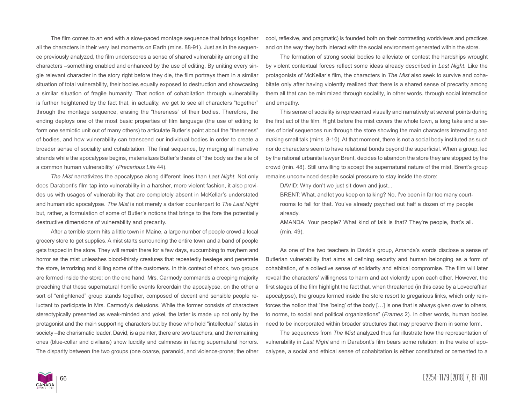The film comes to an end with a slow-paced montage sequence that brings together all the characters in their very last moments on Earth (mins. 88-91). Just as in the sequence previously analyzed, the film underscores a sense of shared vulnerability among all the characters –something enabled and enhanced by the use of editing. By uniting every single relevant character in the story right before they die, the film portrays them in a similar situation of total vulnerability, their bodies equally exposed to destruction and showcasing a similar situation of fragile humanity. That notion of cohabitation through vulnerability is further heightened by the fact that, in actuality, we get to see all characters "together" through the montage sequence, erasing the "thereness" of their bodies. Therefore, the ending deploys one of the most basic properties of film language (the use of editing to form one semiotic unit out of many others) to articulate Butler's point about the "thereness" of bodies, and how vulnerability can transcend our individual bodies in order to create a broader sense of sociality and cohabitation. The final sequence, by merging all narrative strands while the apocalypse begins, materializes Butler's thesis of "the body as the site of a common human vulnerability" (*Precarious Life* 44).

*The Mist* narrativizes the apocalypse along different lines than *Last Night*. Not only does Darabont's film tap into vulnerability in a harsher, more violent fashion, it also provides us with usages of vulnerability that are completely absent in McKellar's understated and humanistic apocalypse. *The Mist* is not merely a darker counterpart to *The Last Night*  but, rather, a formulation of some of Butler's notions that brings to the fore the potentially destructive dimensions of vulnerability and precarity.

After a terrible storm hits a little town in Maine, a large number of people crowd a local grocery store to get supplies. A mist starts surrounding the entire town and a band of people gets trapped in the store. They will remain there for a few days, succumbing to mayhem and horror as the mist unleashes blood-thirsty creatures that repeatedly besiege and penetrate the store, terrorizing and killing some of the customers. In this context of shock, two groups are formed inside the store: on the one hand, Mrs. Carmody commands a creeping majority preaching that these supernatural horrific events foreordain the apocalypse, on the other a sort of "enlightened" group stands together, composed of decent and sensible people reluctant to participate in Mrs. Carmody's delusions. While the former consists of characters stereotypically presented as weak-minded and yokel, the latter is made up not only by the protagonist and the main supporting characters but by those who hold "intellectual" status in society –the charismatic leader, David, is a painter, there are two teachers, and the remaining ones (blue-collar and civilians) show lucidity and calmness in facing supernatural horrors. The disparity between the two groups (one coarse, paranoid, and violence-prone; the other cool, reflexive, and pragmatic) is founded both on their contrasting worldviews and practices and on the way they both interact with the social environment generated within the store.

The formation of strong social bodies to alleviate or contest the hardships wrought by violent contextual forces reflect some ideas already described in *Last Night*. Like the protagonists of McKellar's film, the characters in *The Mist* also seek to survive and cohabitate only after having violently realized that there is a shared sense of precarity among them all that can be minimized through sociality, in other words, through social interaction and empathy.

This sense of sociality is represented visually and narratively at several points during the first act of the film. Right before the mist covers the whole town, a long take and a series of brief sequences run through the store showing the main characters interacting and making small talk (mins. 8-10). At that moment, there is not a social body instituted as such nor do characters seem to have relational bonds beyond the superficial. When a group, led by the rational urbanite lawyer Brent, decides to abandon the store they are stopped by the crowd (min. 48). Still unwilling to accept the supernatural nature of the mist, Brent's group remains unconvinced despite social pressure to stay inside the store:

DAVID: Why don't we just sit down and just...

BRENT: What, and let you keep on talking? No, I've been in far too many courtrooms to fall for that. You've already psyched out half a dozen of my people already.

AMANDA: Your people? What kind of talk is that? They're people, that's all. (min. 49).

As one of the two teachers in David's group, Amanda's words disclose a sense of Butlerian vulnerability that aims at defining security and human belonging as a form of cohabitation, of a collective sense of solidarity and ethical compromise. The film will later reveal the characters' willingness to harm and act violently upon each other. However, the first stages of the film highlight the fact that, when threatened (in this case by a Lovecraftian apocalypse), the groups formed inside the store resort to gregarious links, which only reinforces the notion that "the 'being' of the body […] is one that is always given over to others, to norms, to social and political organizations" (*Frames* 2). In other words, human bodies need to be incorporated within broader structures that may preserve them in some form.

The sequences from *The Mist* analyzed thus far illustrate how the representation of vulnerability in *Last Night* and in Darabont's film bears some relation: in the wake of apocalypse, a social and ethical sense of cohabitation is either constituted or cemented to a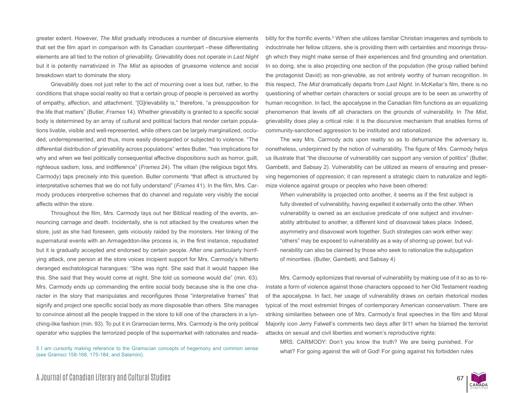greater extent. However, *The Mist* gradually introduces a number of discursive elements that set the film apart in comparison with its Canadian counterpart –these differentiating elements are all tied to the notion of grievability. Grievability does not operate in *Last Night*  but it is potently narrativized in *The Mist* as episodes of gruesome violence and social breakdown start to dominate the story.

Grievability does not just refer to the act of mourning over a loss but, rather, to the conditions that shape social reality so that a certain group of people is perceived as worthy of empathy, affection, and attachment. "[G]rievability is," therefore, "a presupposition for the life that matters" (Butler, *Frames* 14). Whether grievabilty is granted to a specific social body is determined by an array of cultural and political factors that render certain populations livable, visible and well-represented, while others can be largely marginalized, occluded, underrepresented, and thus, more easily disregarded or subjected to violence. "The differential distribution of grievability across populations" writes Butler, "has implications for why and when we feel politically consequential affective dispositions such as horror, guilt, righteous sadism, loss, and indifference" (*Frames* 24). The villain (the religious bigot Mrs. Carmody) taps precisely into this question. Butler comments "that affect is structured by interpretative schemes that we do not fully understand" (*Frames* 41). In the film, Mrs. Carmody produces interpretive schemes that do channel and regulate very visibly the social affects within the store.

Throughout the film, Mrs. Carmody lays out her Biblical reading of the events, announcing carnage and death. Incidentally, she is not attacked by the creatures when the store, just as she had foreseen, gets viciously raided by the monsters. Her linking of the supernatural events with an Armageddon-like process is, in the first instance, repudiated but it is gradually accepted and endorsed by certain people. After one particularly horrifying attack, one person at the store voices incipient support for Mrs. Carmody's hitherto deranged eschatological harangues: "She was right. She said that it would happen like this. She said that they would come at night. She told us someone would die" (min. 63). Mrs. Carmody ends up commanding the entire social body because she is the one character in the story that manipulates and reconfigures those "interpretative frames" that signify and project one specific social body as more disposable than others. She manages to convince almost all the people trapped in the store to kill one of the characters in a lynching-like fashion (min. 93). To put it in Gramscian terms, Mrs. Carmody is the only political operator who supplies the terrorized people of the supermarket with rationales and reada-

5 I am cursorily making reference to the Gramscian concepts of hegemony and common sense what? For going against the will of God! For going against his forbidden rules (see Gramsci 158-168, 175-184; and Salamini).

bility for the horrific events.<sup>5</sup> When she utilizes familiar Christian imageries and symbols to indoctrinate her fellow citizens, she is providing them with certainties and moorings through which they might make sense of their experiences and find grounding and orientation. In so doing, she is also projecting one section of the population (the group rallied behind the protagonist David) as non-grievable, as not entirely worthy of human recognition. In this respect, *The Mist* dramatically departs from *Last Night*. In McKellar's film, there is no questioning of whether certain characters or social groups are to be seen as unworthy of human recognition. In fact, the apocalypse in the Canadian film functions as an equalizing phenomenon that levels off all characters on the grounds of vulnerability. In *The Mist*, grievability does play a critical role: it is the discursive mechanism that enables forms of community-sanctioned aggression to be instituted and rationalized.

The way Mrs. Carmody acts upon reality so as to dehumanize the adversary is, nonetheless, underpinned by the notion of vulnerability. The figure of Mrs. Carmody helps us illustrate that "the discourse of vulnerability can support any version of politics" (Butler, Gambetti, and Sabsay 2). Vulnerability can be utilized as means of ensuring and preserving hegemonies of oppression; it can represent a strategic claim to naturalize and legitimize violence against groups or peoples who have been othered:

When vulnerability is projected onto another, it seems as if the first subject is fully divested of vulnerability, having expelled it externally onto the other. When vulnerability is owned as an exclusive predicate of one subject and invulnerability attributed to another, a different kind of disavowal takes place. Indeed, asymmetry and disavowal work together. Such strategies can work either way: "others" may be exposed to vulnerability as a way of shoring up power, but vulnerability can also be claimed by those who seek to rationalize the subjugation of minorities. (Butler, Gambetti, and Sabsay 4)

Mrs. Carmody epitomizes that reversal of vulnerability by making use of it so as to reinstate a form of violence against those characters opposed to her Old Testament reading of the apocalypse. In fact, her usage of vulnerability draws on certain rhetorical modes typical of the most extremist fringes of contemporary American conservatism. There are striking similarities between one of Mrs. Carmody's final speeches in the film and Moral Majority icon Jerry Falwell's comments two days after 9/11 when he blamed the terrorist attacks on sexual and civil liberties and women's reproductive rights:

MRS. CARMODY: Don't you know the truth? We are being punished. For

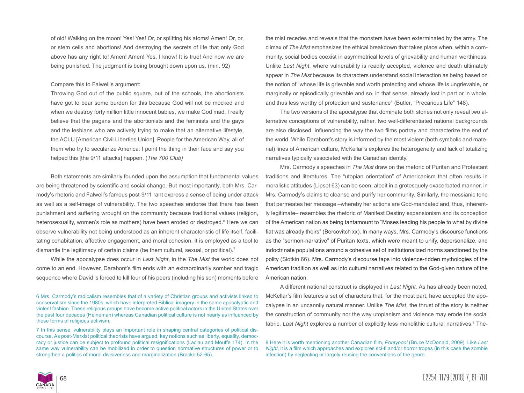of old! Walking on the moon! Yes! Yes! Or, or splitting his atoms! Amen! Or, or, or stem cells and abortions! And destroying the secrets of life that only God above has any right to! Amen! Amen! Yes, I know! It is true! And now we are being punished. The judgment is being brought down upon us. (min. 92)

#### Compare this to Falwell's argument:

Throwing God out of the public square, out of the schools, the abortionists have got to bear some burden for this because God will not be mocked and when we destroy forty million little innocent babies, we make God mad. I really believe that the pagans and the abortionists and the feminists and the gays and the lesbians who are actively trying to make that an alternative lifestyle, the ACLU [American Civil Liberties Union], People for the American Way, all of them who try to secularize America: I point the thing in their face and say you helped this [the 9/11 attacks] happen. (*The 700 Club)*

Both statements are similarly founded upon the assumption that fundamental values are being threatened by scientific and social change. But most importantly, both Mrs. Carmody's rhetoric and Falwell's famous post-9/11 rant express a sense of being under attack as well as a self-image of vulnerability. The two speeches endorse that there has been punishment and suffering wrought on the community because traditional values (religion, heterosexuality, women's role as mothers) have been eroded or destroyed.<sup>6</sup> Here we can observe vulnerability not being understood as an inherent characteristic of life itself, facilitating cohabitation, affective engagement, and moral cohesion. It is employed as a tool to dismantle the legitimacy of certain claims (be them cultural, sexual, or political).7

While the apocalypse does occur in *Last Night*, in the *The Mist* the world does not come to an end. However, Darabont's film ends with an extraordinarily somber and tragic sequence where David is forced to kill four of his peers (including his son) moments before the mist recedes and reveals that the monsters have been exterminated by the army. The climax of *The Mist* emphasizes the ethical breakdown that takes place when, within a community, social bodies coexist in asymmetrical levels of grievability and human worthiness. Unlike *Last Night*, where vulnerability is readily accepted, violence and death ultimately appear in *The Mist* because its characters understand social interaction as being based on the notion of "whose life is grievable and worth protecting and whose life is ungrievable, or marginally or episodically grievable and so, in that sense, already lost in part or in whole, and thus less worthy of protection and sustenance" (Butler, "Precarious Life" 148).

The two versions of the apocalypse that dominate both stories not only reveal two alternative conceptions of vulnerability, rather, two well-differentiated national backgrounds are also disclosed, influencing the way the two films portray and characterize the end of the world. While Darabont's story is informed by the most violent (both symbolic and material) lines of American culture, McKellar's explores the heterogeneity and lack of totalizing narratives typically associated with the Canadian identity.

Mrs. Carmody's speeches in *The Mist* draw on the rhetoric of Puritan and Protestant traditions and literatures. The "utopian orientation" of Americanism that often results in moralistic attitudes (Lipset 63) can be seen, albeit in a grotesquely exacerbated manner, in Mrs. Carmody's claims to cleanse and purify her community. Similarly, the messianic tone that permeates her message –whereby her actions are God-mandated and, thus, inherently legitimate– resembles the rhetoric of Manifest Destiny expansionism and its conception of the American nation as being tantamount to "Moses leading his people to what by divine fiat was already theirs" (Bercovitch xx). In many ways, Mrs. Carmody's discourse functions as the "sermon-narrative" of Puritan texts, which were meant to unify, depersonalize, and indoctrinate populations around a cohesive set of institutionalized norms sanctioned by the polity (Slotkin 66). Mrs. Carmody's discourse taps into violence-ridden mythologies of the American tradition as well as into cultural narratives related to the God-given nature of the American nation.

A different national construct is displayed in *Last Night.* As has already been noted*,*  McKellar's film features a set of characters that, for the most part, have accepted the apocalypse in an uncannily natural manner. Unlike *The Mist*, the thrust of the story is neither the construction of community nor the way utopianism and violence may erode the social fabric. Last Night explores a number of explicitly less monolithic cultural narratives.<sup>8</sup> The-



<sup>6</sup> Mrs. Carmody's radicalism resembles that of a variety of Christian groups and activists linked to conservatism since the 1980s, which have interpreted Biblical imagery in the same apocalyptic and violent fashion. These religious groups have become active political actors in the United States over the past four decades (Heineman) whereas Canadian political culture is not nearly as influenced by these forms of religious activism.

<sup>7</sup> In this sense, vulnerability plays an important role in shaping central categories of political discourse. As post-Marxist political theorists have argued, key notions such as liberty, equality, democracy or justice can be subject to profound political resignifications (Laclau and Mouffe 174). In the same way vulnerability can be mobilized in order to question normative structures of power or to strengthen a politics of moral divisiveness and marginalization (Bracke 52-65).

<sup>8</sup> Here it is worth mentioning another Canadian film, *Pontypool* (Bruce McDonald, 2009). Like *Last Night*, it is a film which approaches and explores sci-fi and/or horror tropes (in this case the zombie infection) by neglecting or largely reusing the conventions of the genre.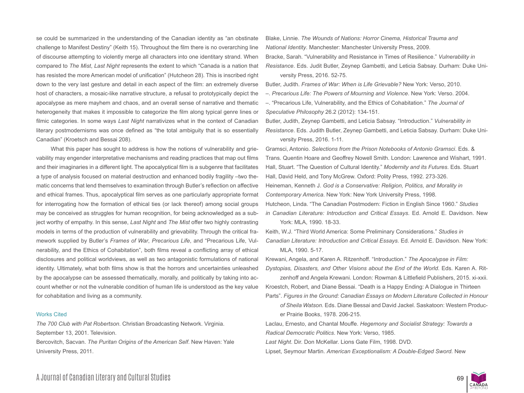se could be summarized in the understanding of the Canadian identity as "an obstinate challenge to Manifest Destiny" (Keith 15). Throughout the film there is no overarching line of discourse attempting to violently merge all characters into one identitary strand. When compared to *The Mist*, *Last Night* represents the extent to which "Canada is a nation that has resisted the more American model of unification" (Hutcheon 28). This is inscribed right down to the very last gesture and detail in each aspect of the film: an extremely diverse host of characters, a mosaic-like narrative structure, a refusal to prototypically depict the apocalypse as mere mayhem and chaos, and an overall sense of narrative and thematic heterogeneity that makes it impossible to categorize the film along typical genre lines or filmic categories. In some ways *Last Night* narrativizes what in the context of Canadian literary postmodernisms was once defined as "the total ambiguity that is so essentially Canadian" (Kroetsch and Bessai 208).

What this paper has sought to address is how the notions of vulnerability and grievability may engender interpretative mechanisms and reading practices that map out films and their imaginaries in a different light. The apocalyptical film is a subgenre that facilitates a type of analysis focused on material destruction and enhanced bodily fragility –two thematic concerns that lend themselves to examination through Butler's reflection on affective and ethical frames. Thus, apocalyptical film serves as one particularly appropriate format for interrogating how the formation of ethical ties (or lack thereof) among social groups may be conceived as struggles for human recognition, for being acknowledged as a subject worthy of empathy. In this sense, *Last Night* and *The Mist* offer two highly contrasting models in terms of the production of vulnerability and grievability. Through the critical framework supplied by Butler's *Frames of War*, *Precarious Life*, and "Precarious Life, Vulnerability, and the Ethics of Cohabitation", both films reveal a conflicting array of ethical disclosures and political worldviews, as well as two antagonistic formulations of national identity. Ultimately, what both films show is that the horrors and uncertainties unleashed by the apocalypse can be assessed thematically, morally, and politically by taking into account whether or not the vulnerable condition of human life is understood as the key value for cohabitation and living as a community.

#### Works Cited

*The 700 Club with Pat Robertson*. Christian Broadcasting Network. Virginia. September 13, 2001. Television.

Bercovitch, Sacvan. *The Puritan Origins of the American Self*. New Haven: Yale University Press, 2011.

Blake, Linnie. *The Wounds of Nations: Horror Cinema, Historical Trauma and National Identity*. Manchester: Manchester University Press, 2009. Bracke, Sarah. "Vulnerability and Resistance in Times of Resilience." *Vulnerability in Resistance*. Eds. Judit Butler, Zeynep Gambetti, and Leticia Sabsay. Durham: Duke University Press, 2016. 52-75.

Butler, Judith. *Frames of War: When is Life Grievable?* New York: Verso, 2010.

- –. *Precarious Life: The Powers of Mourning and Violence*. New York: Verso. 2004.
- –. "Precarious Life, Vulnerability, and the Ethics of Cohabitation." *The Journal of Speculative Philosophy* 26.2 (2012): 134-151.
- Butler, Judith, Zeynep Gambetti, and Leticia Sabsay. "Introduction." *Vulnerability in Resistance*. Eds. Judith Butler, Zeynep Gambetti, and Leticia Sabsay. Durham: Duke University Press, 2016. 1-11.

Gramsci, Antonio. *Selections from the Prison Notebooks of Antonio Gramsci*. Eds. & Trans. Quentin Hoare and Geoffrey Nowell Smith. London: Lawrence and Wishart, 1991. Hall, Stuart. "The Question of Cultural Identity." *Modernity and its Futures*. Eds. Stuart Hall, David Held, and Tony McGrew. Oxford: Polity Press, 1992. 273-326. Heineman, Kenneth J. *God is a Conservative: Religion, Politics, and Morality in Contemporary America*. New York: New York University Press, 1998. Hutcheon, Linda. "The Canadian Postmodern: Fiction in English Since 1960." *Studies in Canadian Literature: Introduction and Critical Essays*. Ed. Arnold E. Davidson. New York: MLA, 1990. 18-33.

Keith, W.J. "Third World America: Some Preliminary Considerations." *Studies in Canadian Literature: Introduction and Critical Essays*. Ed. Arnold E. Davidson. New York: MLA, 1990. 5-17.

Krewani, Angela, and Karen A. Ritzenhoff. "Introduction." *The Apocalypse in Film: Dystopias, Disasters, and Other Visions about the End of the World*. Eds. Karen A. Rit-

zenhoff and Angela Krewani. London: Rowman & Littlefield Publishers, 2015. xi-xxii. Kroestch, Robert, and Diane Bessai. "Death is a Happy Ending: A Dialogue in Thirteen Parts". *Figures in the Ground: Canadian Essays on Modern Literature Collected in Honour* 

*of Sheila Watson.* Eds. Diane Bessai and David Jackel. Saskatoon: Western Producer Prairie Books, 1978. 206-215.

Laclau, Ernesto, and Chantal Mouffe. *Hegemony and Socialist Strategy: Towards a Radical Democratic Politics*. New York: Verso, 1985.

*Last Night*. Dir. Don McKellar. Lions Gate Film, 1998. DVD.

Lipset, Seymour Martin. *American Exceptionalism: A Double-Edged Sword.* New